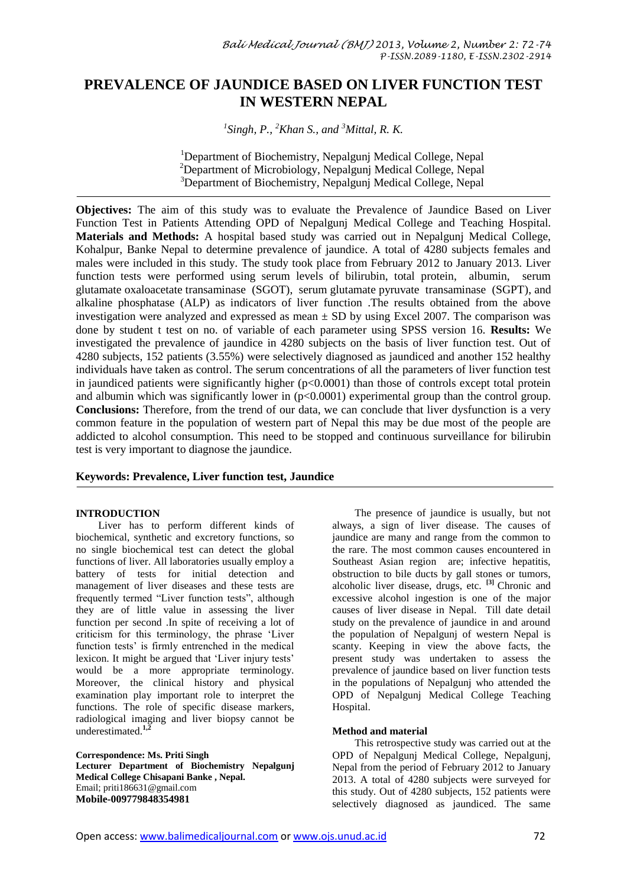# **PREVALENCE OF JAUNDICE BASED ON LIVER FUNCTION TEST IN WESTERN NEPAL**

*1 Singh, P., <sup>2</sup>Khan S., and <sup>3</sup>Mittal, R. K.*

<sup>1</sup>Department of Biochemistry, Nepalgunj Medical College, Nepal <sup>2</sup>Department of Microbiology, Nepalgunj Medical College, Nepal <sup>3</sup>Department of Biochemistry, Nepalgunj Medical College, Nepal

**Objectives:** The aim of this study was to evaluate the Prevalence of Jaundice Based on Liver Function Test in Patients Attending OPD of Nepalgunj Medical College and Teaching Hospital. **Materials and Methods:** A hospital based study was carried out in Nepalgunj Medical College, Kohalpur, Banke Nepal to determine prevalence of jaundice. A total of 4280 subjects females and males were included in this study. The study took place from February 2012 to January 2013. Liver function tests were performed using serum levels of bilirubin, total protein, albumin, serum glutamate oxaloacetate transaminase (SGOT), serum glutamate pyruvate transaminase (SGPT), and alkaline phosphatase (ALP) as indicators of liver function .The results obtained from the above investigation were analyzed and expressed as mean  $\pm$  SD by using Excel 2007. The comparison was done by student t test on no. of variable of each parameter using SPSS version 16. **Results:** We investigated the prevalence of jaundice in 4280 subjects on the basis of liver function test. Out of 4280 subjects, 152 patients (3.55%) were selectively diagnosed as jaundiced and another 152 healthy individuals have taken as control. The serum concentrations of all the parameters of liver function test in jaundiced patients were significantly higher (p<0.0001) than those of controls except total protein and albumin which was significantly lower in  $(p<0.0001)$  experimental group than the control group. **Conclusions:** Therefore, from the trend of our data, we can conclude that liver dysfunction is a very common feature in the population of western part of Nepal this may be due most of the people are addicted to alcohol consumption. This need to be stopped and continuous surveillance for bilirubin test is very important to diagnose the jaundice.

## **Keywords: Prevalence, Liver function test, Jaundice**

#### **INTRODUCTION**

Liver has to perform different kinds of biochemical, synthetic and excretory functions, so no single biochemical test can detect the global functions of liver. All laboratories usually employ a battery of tests for initial detection and management of liver diseases and these tests are frequently termed "Liver function tests", although they are of little value in assessing the liver function per second .In spite of receiving a lot of criticism for this terminology, the phrase "Liver function tests' is firmly entrenched in the medical lexicon. It might be argued that 'Liver injury tests' would be a more appropriate terminology. Moreover, the clinical history and physical examination play important role to interpret the functions. The role of specific disease markers, radiological imaging and liver biopsy cannot be underestimated.**1,2**

**Correspondence: Ms. Priti Singh Lecturer Department of Biochemistry Nepalgunj Medical College Chisapani Banke , Nepal.**  [Email; priti186631@gmail.com](mailto:Email;%20priti186631@gmail.com) **Mobile-009779848354981**

The presence of jaundice is usually, but not always, a sign of liver disease. The causes of jaundice are many and range from the common to the rare. The most common causes encountered in Southeast Asian region are; infective hepatitis, obstruction to bile ducts by gall stones or tumors, alcoholic liver disease, drugs, etc. **[3]** Chronic and excessive alcohol ingestion is one of the major causes of liver disease in Nepal. Till date detail study on the prevalence of jaundice in and around the population of Nepalgunj of western Nepal is scanty. Keeping in view the above facts, the present study was undertaken to assess the prevalence of jaundice based on liver function tests in the populations of Nepalgunj who attended the OPD of Nepalgunj Medical College Teaching Hospital.

#### **Method and material**

This retrospective study was carried out at the OPD of Nepalgunj Medical College, Nepalgunj, Nepal from the period of February 2012 to January 2013. A total of 4280 subjects were surveyed for this study. Out of 4280 subjects, 152 patients were selectively diagnosed as jaundiced. The same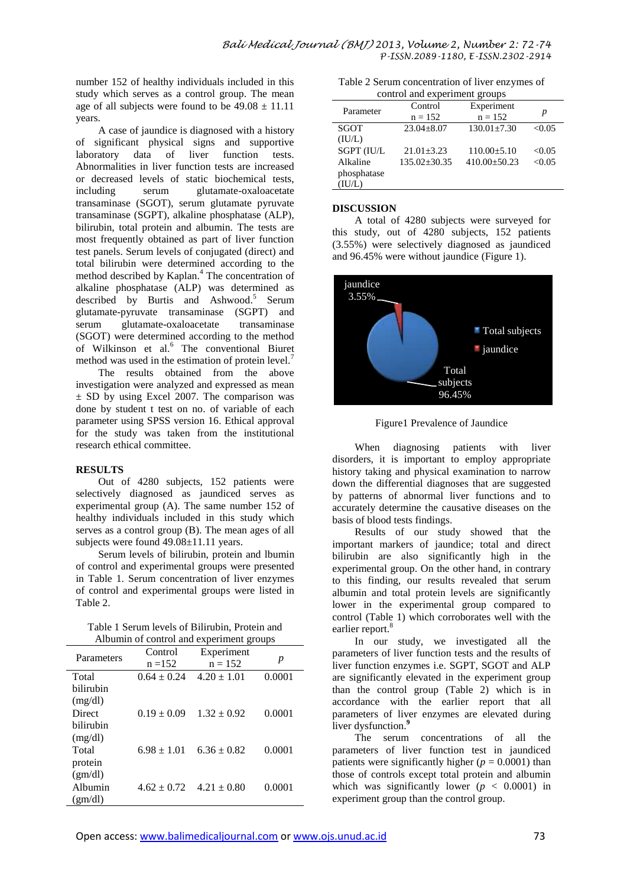number 152 of healthy individuals included in this study which serves as a control group. The mean age of all subjects were found to be  $49.08 \pm 11.11$ years.

A case of jaundice is diagnosed with a history of significant physical signs and supportive of liver function Abnormalities in liver function tests are increased or decreased levels of static biochemical tests,<br>including serum glutamate-oxaloacetate glutamate-oxaloacetate transaminase (SGOT), serum glutamate pyruvate transaminase (SGPT), alkaline phosphatase (ALP), bilirubin, total protein and albumin. The tests are most frequently obtained as part of liver function test panels. Serum levels of conjugated (direct) and total bilirubin were determined according to the method described by Kaplan. <sup>4</sup> The concentration of alkaline phosphatase (ALP) was determined as described by Burtis and Ashwood. 5 Serum glutamate-pyruvate transaminase (SGPT) and serum glutamate-oxaloacetate transaminase (SGOT) were determined according to the method of Wilkinson et al.<sup>6</sup> The conventional Biuret method was used in the estimation of protein level.<sup>7</sup>

The results obtained from the above investigation were analyzed and expressed as mean ± SD by using Excel 2007. The comparison was done by student t test on no. of variable of each parameter using SPSS version 16. Ethical approval for the study was taken from the institutional research ethical committee.

#### **RESULTS**

Out of 4280 subjects, 152 patients were selectively diagnosed as jaundiced serves as experimental group (A). The same number 152 of healthy individuals included in this study which serves as a control group (B). The mean ages of all subjects were found  $49.08 \pm 11.11$  years.

Serum levels of bilirubin, protein and lbumin of control and experimental groups were presented in Table 1. Serum concentration of liver enzymes of control and experimental groups were listed in Table 2.

| Table 1 Serum levels of Bilirubin, Protein and |
|------------------------------------------------|
| Albumin of control and experiment groups       |

| Parameters | Control         | Experiment      |        |  |  |
|------------|-----------------|-----------------|--------|--|--|
|            | $n = 152$       | $n = 152$       | р      |  |  |
| Total      | $0.64 \pm 0.24$ | $4.20 \pm 1.01$ | 0.0001 |  |  |
| hiliruhin  |                 |                 |        |  |  |
| (mg/dl)    |                 |                 |        |  |  |
| Direct     | $0.19 \pm 0.09$ | $1.32 \pm 0.92$ | 0.0001 |  |  |
| bilirubin  |                 |                 |        |  |  |
| (mg/dl)    |                 |                 |        |  |  |
| Total      | $6.98 \pm 1.01$ | $6.36 \pm 0.82$ | 0.0001 |  |  |
| protein    |                 |                 |        |  |  |
| (gm/dl)    |                 |                 |        |  |  |
| Albumin    | $4.62 \pm 0.72$ | $4.21 \pm 0.80$ | 0.0001 |  |  |
| (gm/dl)    |                 |                 |        |  |  |

Table 2 Serum concentration of liver enzymes of control and experiment groups

| control and experiment groups |                      |                         |        |  |  |
|-------------------------------|----------------------|-------------------------|--------|--|--|
| Parameter                     | Control<br>$n = 152$ | Experiment<br>$n = 152$ | р      |  |  |
| SGOT                          | $23.04 \pm 8.07$     | $130.01 \pm 7.30$       | < 0.05 |  |  |
| (IU/L)                        |                      |                         |        |  |  |
| SGPT (IU/L                    | $21.01 + 3.23$       | $110.00 + 5.10$         | < 0.05 |  |  |
| Alkaline                      | $135.02 \pm 30.35$   | $410.00 + 50.23$        | < 0.05 |  |  |
| phosphatase                   |                      |                         |        |  |  |
| (IU/L)                        |                      |                         |        |  |  |

### **DISCUSSION**

A total of 4280 subjects were surveyed for this study, out of 4280 subjects, 152 patients (3.55%) were selectively diagnosed as jaundiced and 96.45% were without jaundice (Figure 1).



Figure1 Prevalence of Jaundice

When diagnosing patients with liver disorders, it is important to employ appropriate history taking and physical examination to narrow down the differential diagnoses that are suggested by patterns of abnormal liver functions and to accurately determine the causative diseases on the basis of blood tests findings.

Results of our study showed that the important markers of jaundice; total and direct bilirubin are also significantly high in the experimental group. On the other hand, in contrary to this finding, our results revealed that serum albumin and total protein levels are significantly lower in the experimental group compared to control (Table 1) which corroborates well with the earlier report.<sup>8</sup>

In our study, we investigated all the parameters of liver function tests and the results of liver function enzymes i.e. SGPT, SGOT and ALP are significantly elevated in the experiment group than the control group (Table 2) which is in accordance with the earlier report that all parameters of liver enzymes are elevated during liver dysfunction. **9**

The serum concentrations of all the parameters of liver function test in jaundiced patients were significantly higher ( $p = 0.0001$ ) than those of controls except total protein and albumin which was significantly lower  $(p < 0.0001)$  in experiment group than the control group.